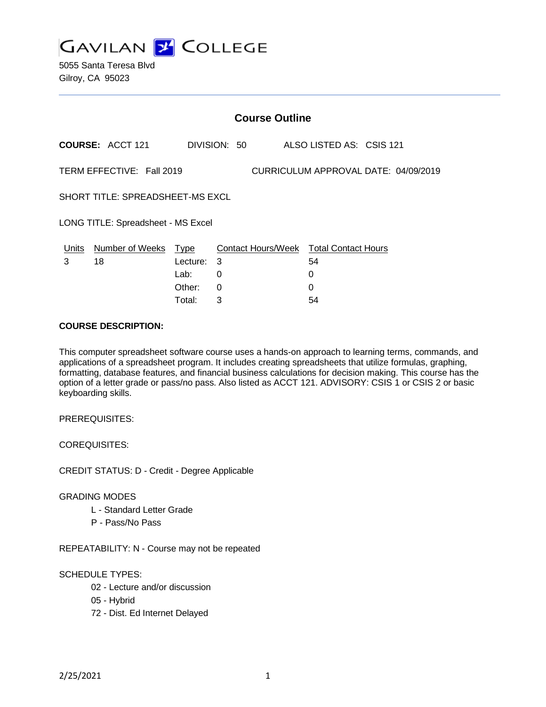**GAVILAN J COLLEGE** 

5055 Santa Teresa Blvd Gilroy, CA 95023

| <b>Course Outline</b>                                             |                         |                                           |             |              |  |                                                        |  |
|-------------------------------------------------------------------|-------------------------|-------------------------------------------|-------------|--------------|--|--------------------------------------------------------|--|
|                                                                   | <b>COURSE: ACCT 121</b> |                                           |             | DIVISION: 50 |  | ALSO LISTED AS: CSIS 121                               |  |
| TERM EFFECTIVE: Fall 2019<br>CURRICULUM APPROVAL DATE: 04/09/2019 |                         |                                           |             |              |  |                                                        |  |
| SHORT TITLE: SPREADSHEET-MS EXCL                                  |                         |                                           |             |              |  |                                                        |  |
| LONG TITLE: Spreadsheet - MS Excel                                |                         |                                           |             |              |  |                                                        |  |
| Units<br>3                                                        | Number of Weeks<br>18   | <u>Type</u><br>Lecture:<br>Lab:<br>Other: | 3<br>0<br>0 |              |  | Contact Hours/Week Total Contact Hours<br>54<br>0<br>0 |  |
|                                                                   |                         | Total:                                    | 3           |              |  | 54                                                     |  |

#### **COURSE DESCRIPTION:**

This computer spreadsheet software course uses a hands-on approach to learning terms, commands, and applications of a spreadsheet program. It includes creating spreadsheets that utilize formulas, graphing, formatting, database features, and financial business calculations for decision making. This course has the option of a letter grade or pass/no pass. Also listed as ACCT 121. ADVISORY: CSIS 1 or CSIS 2 or basic keyboarding skills.

PREREQUISITES:

COREQUISITES:

CREDIT STATUS: D - Credit - Degree Applicable

#### GRADING MODES

- L Standard Letter Grade
- P Pass/No Pass

REPEATABILITY: N - Course may not be repeated

### SCHEDULE TYPES:

- 02 Lecture and/or discussion
- 05 Hybrid
- 72 Dist. Ed Internet Delayed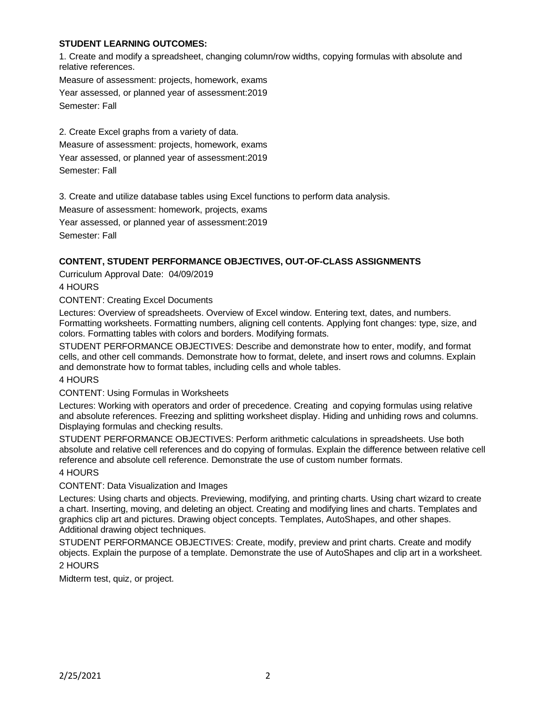### **STUDENT LEARNING OUTCOMES:**

1. Create and modify a spreadsheet, changing column/row widths, copying formulas with absolute and relative references.

Measure of assessment: projects, homework, exams Year assessed, or planned year of assessment:2019 Semester: Fall

2. Create Excel graphs from a variety of data. Measure of assessment: projects, homework, exams Year assessed, or planned year of assessment:2019 Semester: Fall

3. Create and utilize database tables using Excel functions to perform data analysis.

Measure of assessment: homework, projects, exams

Year assessed, or planned year of assessment:2019 Semester: Fall

## **CONTENT, STUDENT PERFORMANCE OBJECTIVES, OUT-OF-CLASS ASSIGNMENTS**

Curriculum Approval Date: 04/09/2019

4 HOURS

CONTENT: Creating Excel Documents

Lectures: Overview of spreadsheets. Overview of Excel window. Entering text, dates, and numbers. Formatting worksheets. Formatting numbers, aligning cell contents. Applying font changes: type, size, and colors. Formatting tables with colors and borders. Modifying formats.

STUDENT PERFORMANCE OBJECTIVES: Describe and demonstrate how to enter, modify, and format cells, and other cell commands. Demonstrate how to format, delete, and insert rows and columns. Explain and demonstrate how to format tables, including cells and whole tables.

### 4 HOURS

CONTENT: Using Formulas in Worksheets

Lectures: Working with operators and order of precedence. Creating and copying formulas using relative and absolute references. Freezing and splitting worksheet display. Hiding and unhiding rows and columns. Displaying formulas and checking results.

STUDENT PERFORMANCE OBJECTIVES: Perform arithmetic calculations in spreadsheets. Use both absolute and relative cell references and do copying of formulas. Explain the difference between relative cell reference and absolute cell reference. Demonstrate the use of custom number formats.

### 4 HOURS

### CONTENT: Data Visualization and Images

Lectures: Using charts and objects. Previewing, modifying, and printing charts. Using chart wizard to create a chart. Inserting, moving, and deleting an object. Creating and modifying lines and charts. Templates and graphics clip art and pictures. Drawing object concepts. Templates, AutoShapes, and other shapes. Additional drawing object techniques.

STUDENT PERFORMANCE OBJECTIVES: Create, modify, preview and print charts. Create and modify objects. Explain the purpose of a template. Demonstrate the use of AutoShapes and clip art in a worksheet.

# 2 HOURS

Midterm test, quiz, or project.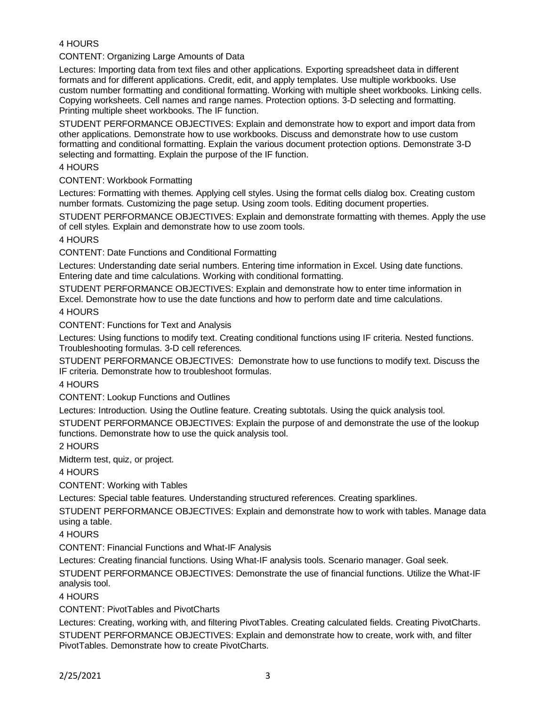# 4 HOURS

CONTENT: Organizing Large Amounts of Data

Lectures: Importing data from text files and other applications. Exporting spreadsheet data in different formats and for different applications. Credit, edit, and apply templates. Use multiple workbooks. Use custom number formatting and conditional formatting. Working with multiple sheet workbooks. Linking cells. Copying worksheets. Cell names and range names. Protection options. 3-D selecting and formatting. Printing multiple sheet workbooks. The IF function.

STUDENT PERFORMANCE OBJECTIVES: Explain and demonstrate how to export and import data from other applications. Demonstrate how to use workbooks. Discuss and demonstrate how to use custom formatting and conditional formatting. Explain the various document protection options. Demonstrate 3-D selecting and formatting. Explain the purpose of the IF function.

4 HOURS

CONTENT: Workbook Formatting

Lectures: Formatting with themes. Applying cell styles. Using the format cells dialog box. Creating custom number formats. Customizing the page setup. Using zoom tools. Editing document properties.

STUDENT PERFORMANCE OBJECTIVES: Explain and demonstrate formatting with themes. Apply the use of cell styles. Explain and demonstrate how to use zoom tools.

4 HOURS

CONTENT: Date Functions and Conditional Formatting

Lectures: Understanding date serial numbers. Entering time information in Excel. Using date functions. Entering date and time calculations. Working with conditional formatting.

STUDENT PERFORMANCE OBJECTIVES: Explain and demonstrate how to enter time information in Excel. Demonstrate how to use the date functions and how to perform date and time calculations.

4 HOURS

CONTENT: Functions for Text and Analysis

Lectures: Using functions to modify text. Creating conditional functions using IF criteria. Nested functions. Troubleshooting formulas. 3-D cell references.

STUDENT PERFORMANCE OBJECTIVES: Demonstrate how to use functions to modify text. Discuss the IF criteria. Demonstrate how to troubleshoot formulas.

4 HOURS

CONTENT: Lookup Functions and Outlines

Lectures: Introduction. Using the Outline feature. Creating subtotals. Using the quick analysis tool.

STUDENT PERFORMANCE OBJECTIVES: Explain the purpose of and demonstrate the use of the lookup functions. Demonstrate how to use the quick analysis tool.

2 HOURS

Midterm test, quiz, or project.

4 HOURS

CONTENT: Working with Tables

Lectures: Special table features. Understanding structured references. Creating sparklines.

STUDENT PERFORMANCE OBJECTIVES: Explain and demonstrate how to work with tables. Manage data using a table.

4 HOURS

CONTENT: Financial Functions and What-IF Analysis

Lectures: Creating financial functions. Using What-IF analysis tools. Scenario manager. Goal seek.

STUDENT PERFORMANCE OBJECTIVES: Demonstrate the use of financial functions. Utilize the What-IF analysis tool.

4 HOURS

CONTENT: PivotTables and PivotCharts

Lectures: Creating, working with, and filtering PivotTables. Creating calculated fields. Creating PivotCharts. STUDENT PERFORMANCE OBJECTIVES: Explain and demonstrate how to create, work with, and filter PivotTables. Demonstrate how to create PivotCharts.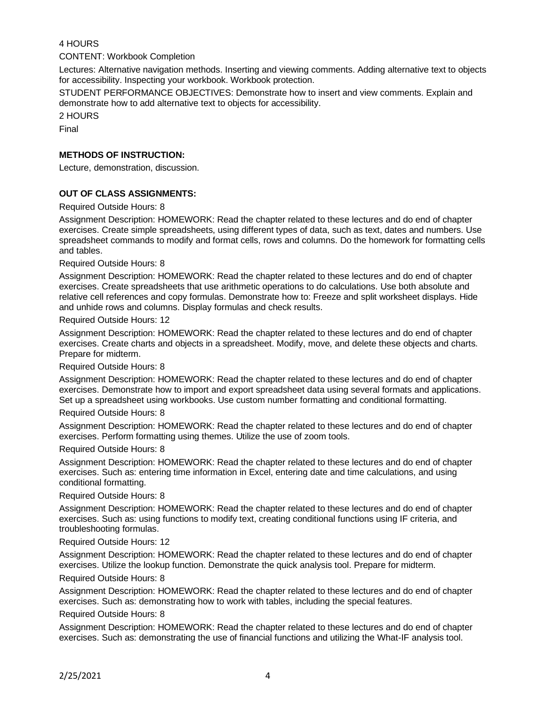## 4 HOURS

CONTENT: Workbook Completion

Lectures: Alternative navigation methods. Inserting and viewing comments. Adding alternative text to objects for accessibility. Inspecting your workbook. Workbook protection.

STUDENT PERFORMANCE OBJECTIVES: Demonstrate how to insert and view comments. Explain and demonstrate how to add alternative text to objects for accessibility.

2 HOURS

Final

### **METHODS OF INSTRUCTION:**

Lecture, demonstration, discussion.

### **OUT OF CLASS ASSIGNMENTS:**

Required Outside Hours: 8

Assignment Description: HOMEWORK: Read the chapter related to these lectures and do end of chapter exercises. Create simple spreadsheets, using different types of data, such as text, dates and numbers. Use spreadsheet commands to modify and format cells, rows and columns. Do the homework for formatting cells and tables.

Required Outside Hours: 8

Assignment Description: HOMEWORK: Read the chapter related to these lectures and do end of chapter exercises. Create spreadsheets that use arithmetic operations to do calculations. Use both absolute and relative cell references and copy formulas. Demonstrate how to: Freeze and split worksheet displays. Hide and unhide rows and columns. Display formulas and check results.

Required Outside Hours: 12

Assignment Description: HOMEWORK: Read the chapter related to these lectures and do end of chapter exercises. Create charts and objects in a spreadsheet. Modify, move, and delete these objects and charts. Prepare for midterm.

Required Outside Hours: 8

Assignment Description: HOMEWORK: Read the chapter related to these lectures and do end of chapter exercises. Demonstrate how to import and export spreadsheet data using several formats and applications. Set up a spreadsheet using workbooks. Use custom number formatting and conditional formatting.

Required Outside Hours: 8

Assignment Description: HOMEWORK: Read the chapter related to these lectures and do end of chapter exercises. Perform formatting using themes. Utilize the use of zoom tools.

Required Outside Hours: 8

Assignment Description: HOMEWORK: Read the chapter related to these lectures and do end of chapter exercises. Such as: entering time information in Excel, entering date and time calculations, and using conditional formatting.

Required Outside Hours: 8

Assignment Description: HOMEWORK: Read the chapter related to these lectures and do end of chapter exercises. Such as: using functions to modify text, creating conditional functions using IF criteria, and troubleshooting formulas.

Required Outside Hours: 12

Assignment Description: HOMEWORK: Read the chapter related to these lectures and do end of chapter exercises. Utilize the lookup function. Demonstrate the quick analysis tool. Prepare for midterm.

Required Outside Hours: 8

Assignment Description: HOMEWORK: Read the chapter related to these lectures and do end of chapter exercises. Such as: demonstrating how to work with tables, including the special features.

Required Outside Hours: 8

Assignment Description: HOMEWORK: Read the chapter related to these lectures and do end of chapter exercises. Such as: demonstrating the use of financial functions and utilizing the What-IF analysis tool.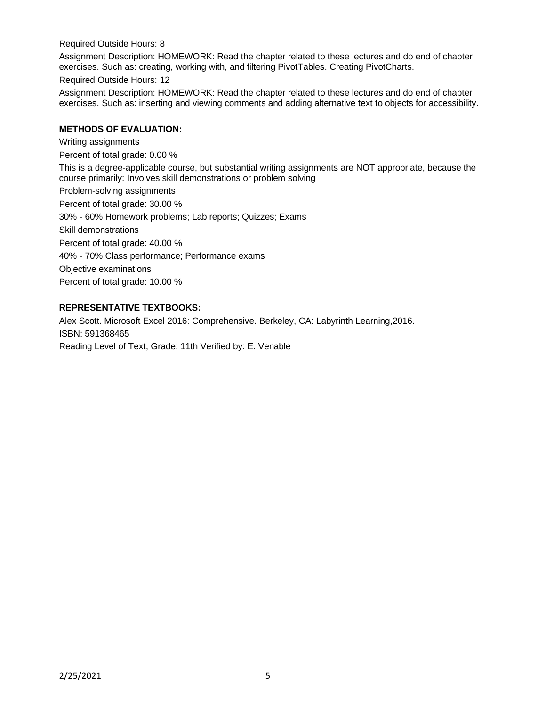Required Outside Hours: 8

Assignment Description: HOMEWORK: Read the chapter related to these lectures and do end of chapter exercises. Such as: creating, working with, and filtering PivotTables. Creating PivotCharts.

Required Outside Hours: 12

Assignment Description: HOMEWORK: Read the chapter related to these lectures and do end of chapter exercises. Such as: inserting and viewing comments and adding alternative text to objects for accessibility.

### **METHODS OF EVALUATION:**

Writing assignments Percent of total grade: 0.00 % This is a degree-applicable course, but substantial writing assignments are NOT appropriate, because the course primarily: Involves skill demonstrations or problem solving Problem-solving assignments Percent of total grade: 30.00 % 30% - 60% Homework problems; Lab reports; Quizzes; Exams Skill demonstrations Percent of total grade: 40.00 % 40% - 70% Class performance; Performance exams Objective examinations Percent of total grade: 10.00 %

## **REPRESENTATIVE TEXTBOOKS:**

Alex Scott. Microsoft Excel 2016: Comprehensive. Berkeley, CA: Labyrinth Learning,2016. ISBN: 591368465 Reading Level of Text, Grade: 11th Verified by: E. Venable